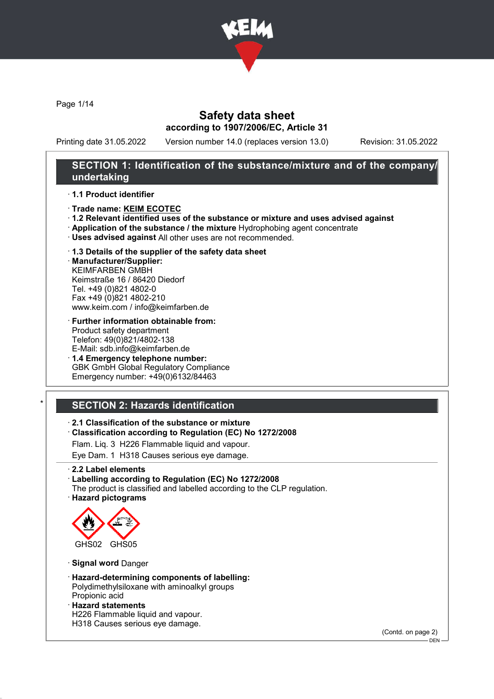

Page 1/14

## Safety data sheet according to 1907/2006/EC, Article 31

Printing date 31.05.2022 Version number 14.0 (replaces version 13.0) Revision: 31.05.2022

### SECTION 1: Identification of the substance/mixture and of the company/ undertaking

#### · 1.1 Product identifier

- · Trade name: KEIM ECOTEC
- · 1.2 Relevant identified uses of the substance or mixture and uses advised against
- · Application of the substance / the mixture Hydrophobing agent concentrate
- · Uses advised against All other uses are not recommended.

### · 1.3 Details of the supplier of the safety data sheet

· Manufacturer/Supplier: KEIMFARBEN GMBH Keimstraße 16 / 86420 Diedorf Tel. +49 (0)821 4802-0 Fax +49 (0)821 4802-210 www.keim.com / info@keimfarben.de

- · Further information obtainable from: Product safety department Telefon: 49(0)821/4802-138 E-Mail: sdb.info@keimfarben.de
- · 1.4 Emergency telephone number: GBK GmbH Global Regulatory Compliance Emergency number: +49(0)6132/84463

# **SECTION 2: Hazards identification**

#### · 2.1 Classification of the substance or mixture

· Classification according to Regulation (EC) No 1272/2008

Flam. Liq. 3 H226 Flammable liquid and vapour.

Eye Dam. 1 H318 Causes serious eye damage.

· 2.2 Label elements

#### · Labelling according to Regulation (EC) No 1272/2008

The product is classified and labelled according to the CLP regulation. · Hazard pictograms



· Signal word Danger

- · Hazard-determining components of labelling: Polydimethylsiloxane with aminoalkyl groups Propionic acid
- · Hazard statements

H226 Flammable liquid and vapour.

H318 Causes serious eye damage.

(Contd. on page 2)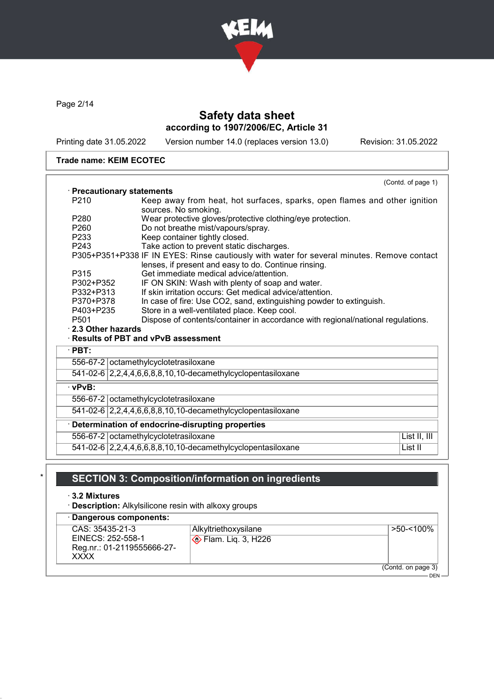

Page 2/14

# Safety data sheet according to 1907/2006/EC, Article 31

Printing date 31.05.2022 Version number 14.0 (replaces version 13.0) Revision: 31.05.2022

#### Trade name: KEIM ECOTEC

|                                                    | · Precautionary statements                                                                                                                         |  |  |
|----------------------------------------------------|----------------------------------------------------------------------------------------------------------------------------------------------------|--|--|
| P <sub>210</sub>                                   | Keep away from heat, hot surfaces, sparks, open flames and other ignition<br>sources. No smoking.                                                  |  |  |
| P <sub>280</sub>                                   | Wear protective gloves/protective clothing/eye protection.                                                                                         |  |  |
| P <sub>260</sub>                                   | Do not breathe mist/vapours/spray.                                                                                                                 |  |  |
| P233                                               | Keep container tightly closed.                                                                                                                     |  |  |
| P <sub>243</sub>                                   | Take action to prevent static discharges.                                                                                                          |  |  |
|                                                    | P305+P351+P338 IF IN EYES: Rinse cautiously with water for several minutes. Remove contact<br>lenses, if present and easy to do. Continue rinsing. |  |  |
| P315                                               | Get immediate medical advice/attention.                                                                                                            |  |  |
| P302+P352                                          | IF ON SKIN: Wash with plenty of soap and water.                                                                                                    |  |  |
| P332+P313                                          | If skin irritation occurs: Get medical advice/attention.                                                                                           |  |  |
| P370+P378                                          | In case of fire: Use CO2, sand, extinguishing powder to extinguish.                                                                                |  |  |
| P403+P235                                          |                                                                                                                                                    |  |  |
|                                                    | Store in a well-ventilated place. Keep cool.                                                                                                       |  |  |
| P <sub>501</sub>                                   | Dispose of contents/container in accordance with regional/national regulations.                                                                    |  |  |
|                                                    | · Results of PBT and vPvB assessment                                                                                                               |  |  |
|                                                    |                                                                                                                                                    |  |  |
|                                                    | 556-67-2 octamethylcyclotetrasiloxane                                                                                                              |  |  |
|                                                    | 541-02-6 2,2,4,4,6,6,8,8,10,10-decamethylcyclopentasiloxane                                                                                        |  |  |
|                                                    |                                                                                                                                                    |  |  |
|                                                    | 556-67-2 octamethylcyclotetrasiloxane                                                                                                              |  |  |
|                                                    | 541-02-6 2,2,4,4,6,6,8,8,10,10-decamethylcyclopentasiloxane                                                                                        |  |  |
|                                                    | Determination of endocrine-disrupting properties                                                                                                   |  |  |
| 2.3 Other hazards<br>$\cdot$ PBT:<br>$\cdot$ vPvB: | 556-67-2 octamethylcyclotetrasiloxane<br>List II, III                                                                                              |  |  |

# SECTION 3: Composition/information on ingredients

· 3.2 Mixtures

· Description: Alkylsilicone resin with alkoxy groups

· Dangerous components: CAS: 35435-21-3 EINECS: 252-558-1 Reg.nr.: 01-2119555666-27- XXXX Alkyltriethoxysilane **Elam.** Liq. 3, H226 >50-<100% (Contd. on page 3) – DEN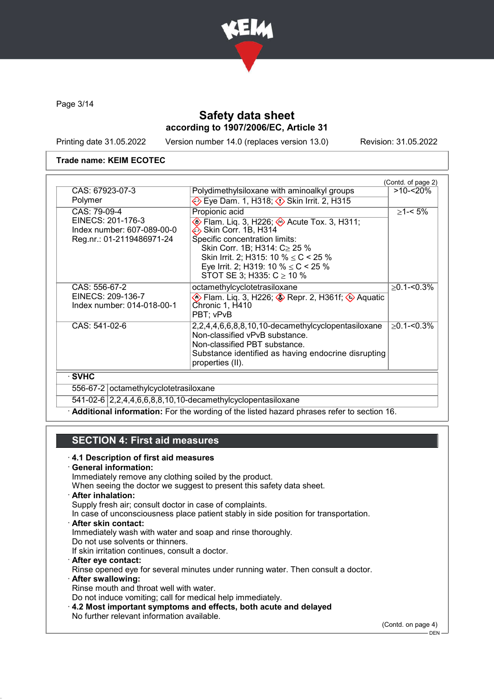

Page 3/14

# Safety data sheet according to 1907/2006/EC, Article 31

Printing date 31.05.2022 Version number 14.0 (replaces version 13.0) Revision: 31.05.2022

#### Trade name: KEIM ECOTEC

|                                                                                              |                                                                                                                                                                                                                                                                                  | (Contd. of page 2) |
|----------------------------------------------------------------------------------------------|----------------------------------------------------------------------------------------------------------------------------------------------------------------------------------------------------------------------------------------------------------------------------------|--------------------|
| CAS: 67923-07-3                                                                              | Polydimethylsiloxane with aminoalkyl groups                                                                                                                                                                                                                                      | $>10 - 20%$        |
| Polymer                                                                                      | Eye Dam. 1, H318; $\diamondsuit$ Skin Irrit. 2, H315                                                                                                                                                                                                                             |                    |
| CAS: 79-09-4<br>EINECS: 201-176-3<br>Index number: 607-089-00-0<br>Reg.nr.: 01-2119486971-24 | Propionic acid<br>♦ Flam. Liq. 3, H226; ♦ Acute Tox. 3, H311;<br>Skin Corr. 1B, H314<br>Specific concentration limits:<br>Skin Corr. 1B; H314: C≥ 25 %<br>Skin Irrit. 2; H315: 10 % $\leq$ C < 25 %<br>Eye Irrit. 2; H319: 10 % $\leq$ C < 25 %<br>STOT SE 3; H335: $C \ge 10$ % | $≥1 - 5%$          |
| CAS: 556-67-2<br>EINECS: 209-136-7<br>Index number: 014-018-00-1                             | octamethylcyclotetrasiloxane<br>Sepr. 2, H361f; ♦ Aquatic \$) Repr. 2, H361f; ♦ Aquatic<br>Chronic 1, H410<br>PBT; vPvB                                                                                                                                                          | $\geq$ 0.1-<0.3%   |
| CAS: 541-02-6                                                                                | 2,2,4,4,6,6,8,8,10,10-decamethylcyclopentasiloxane<br>Non-classified vPvB substance.<br>Non-classified PBT substance.<br>Substance identified as having endocrine disrupting<br>properties (II).                                                                                 | $\geq$ 0.1-<0.3%   |
| · SVHC                                                                                       |                                                                                                                                                                                                                                                                                  |                    |
| 556-67-2 octamethylcyclotetrasiloxane                                                        |                                                                                                                                                                                                                                                                                  |                    |
|                                                                                              | 541-02-6 2,2,4,4,6,6,8,8,10,10-decamethylcyclopentasiloxane                                                                                                                                                                                                                      |                    |

· Additional information: For the wording of the listed hazard phrases refer to section 16.

# SECTION 4: First aid measures

#### · 4.1 Description of first aid measures

#### · General information:

Immediately remove any clothing soiled by the product.

- When seeing the doctor we suggest to present this safety data sheet.
- · After inhalation:
- Supply fresh air; consult doctor in case of complaints.
- In case of unconsciousness place patient stably in side position for transportation.
- · After skin contact:
- Immediately wash with water and soap and rinse thoroughly.
- Do not use solvents or thinners.
- If skin irritation continues, consult a doctor.
- · After eye contact:
- Rinse opened eye for several minutes under running water. Then consult a doctor. · After swallowing:
- Rinse mouth and throat well with water.
- Do not induce vomiting; call for medical help immediately.
- · 4.2 Most important symptoms and effects, both acute and delayed No further relevant information available.

(Contd. on page 4)

 $-$  DEN -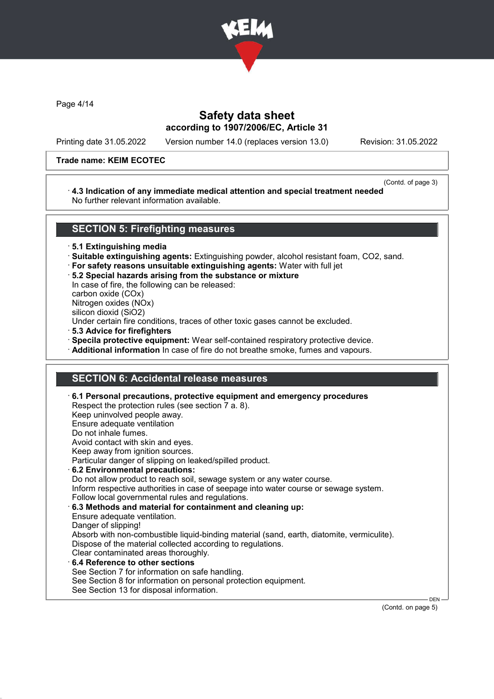

Page 4/14

# Safety data sheet according to 1907/2006/EC, Article 31

Printing date 31.05.2022 Version number 14.0 (replaces version 13.0) Revision: 31.05.2022

#### Trade name: KEIM ECOTEC

(Contd. of page 3)

#### · 4.3 Indication of any immediate medical attention and special treatment needed No further relevant information available.

### SECTION 5: Firefighting measures

· 5.1 Extinguishing media

- · Suitable extinguishing agents: Extinguishing powder, alcohol resistant foam, CO2, sand.
- · For safety reasons unsuitable extinguishing agents: Water with full jet
- · 5.2 Special hazards arising from the substance or mixture

In case of fire, the following can be released: carbon oxide (COx) Nitrogen oxides (NOx)

silicon dioxid (SiO2)

Under certain fire conditions, traces of other toxic gases cannot be excluded.

- · 5.3 Advice for firefighters
- · Specila protective equipment: Wear self-contained respiratory protective device.
- · Additional information In case of fire do not breathe smoke, fumes and vapours.

### SECTION 6: Accidental release measures

|  | $\cdot$ 6.1 Personal precautions, protective equipment and emergency procedures<br>Respect the protection rules (see section 7 a. 8).<br>Keep uninvolved people away.<br>Ensure adequate ventilation<br>Do not inhale fumes.<br>Avoid contact with skin and eyes.<br>Keep away from ignition sources.<br>Particular danger of slipping on leaked/spilled product.<br>6.2 Environmental precautions:<br>Do not allow product to reach soil, sewage system or any water course.<br>Inform respective authorities in case of seepage into water course or sewage system.<br>Follow local governmental rules and regulations.<br>6.3 Methods and material for containment and cleaning up:<br>Ensure adequate ventilation.<br>Danger of slipping!<br>Absorb with non-combustible liquid-binding material (sand, earth, diatomite, vermiculite).<br>Dispose of the material collected according to regulations.<br>Clear contaminated areas thoroughly.<br>6.4 Reference to other sections<br>See Section 7 for information on safe handling.<br>See Section 8 for information on personal protection equipment.<br>See Section 13 for disposal information. |  |
|--|---------------------------------------------------------------------------------------------------------------------------------------------------------------------------------------------------------------------------------------------------------------------------------------------------------------------------------------------------------------------------------------------------------------------------------------------------------------------------------------------------------------------------------------------------------------------------------------------------------------------------------------------------------------------------------------------------------------------------------------------------------------------------------------------------------------------------------------------------------------------------------------------------------------------------------------------------------------------------------------------------------------------------------------------------------------------------------------------------------------------------------------------------------|--|
|--|---------------------------------------------------------------------------------------------------------------------------------------------------------------------------------------------------------------------------------------------------------------------------------------------------------------------------------------------------------------------------------------------------------------------------------------------------------------------------------------------------------------------------------------------------------------------------------------------------------------------------------------------------------------------------------------------------------------------------------------------------------------------------------------------------------------------------------------------------------------------------------------------------------------------------------------------------------------------------------------------------------------------------------------------------------------------------------------------------------------------------------------------------------|--|

(Contd. on page 5)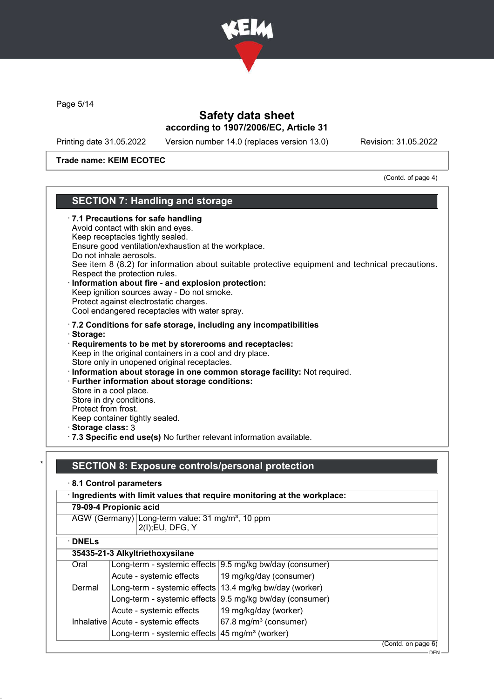

Page 5/14

# Safety data sheet according to 1907/2006/EC, Article 31

Printing date 31.05.2022 Version number 14.0 (replaces version 13.0) Revision: 31.05.2022

Trade name: KEIM ECOTEC

(Contd. of page 4)

# SECTION 7: Handling and storage

| · 7.1 Precautions for safe handling<br>Avoid contact with skin and eyes.<br>Keep receptacles tightly sealed.<br>Ensure good ventilation/exhaustion at the workplace.<br>Do not inhale aerosols.<br>See item 8 (8.2) for information about suitable protective equipment and technical precautions.<br>Respect the protection rules.<br>Information about fire - and explosion protection:<br>Keep ignition sources away - Do not smoke.<br>Protect against electrostatic charges.<br>Cool endangered receptacles with water spray. |
|------------------------------------------------------------------------------------------------------------------------------------------------------------------------------------------------------------------------------------------------------------------------------------------------------------------------------------------------------------------------------------------------------------------------------------------------------------------------------------------------------------------------------------|
| .7.2 Conditions for safe storage, including any incompatibilities                                                                                                                                                                                                                                                                                                                                                                                                                                                                  |
| · Storage:<br>Requirements to be met by storerooms and receptacles:<br>Keep in the original containers in a cool and dry place.<br>Store only in unopened original receptacles.<br>Information about storage in one common storage facility: Not required.<br>· Further information about storage conditions:                                                                                                                                                                                                                      |
| Store in a cool place.<br>Store in dry conditions.<br>Protect from frost.<br>Keep container tightly sealed.                                                                                                                                                                                                                                                                                                                                                                                                                        |
| Storage class: 3<br>· 7.3 Specific end use(s) No further relevant information available.                                                                                                                                                                                                                                                                                                                                                                                                                                           |
|                                                                                                                                                                                                                                                                                                                                                                                                                                                                                                                                    |
| <b>SECTION 8: Exposure controls/personal protection</b>                                                                                                                                                                                                                                                                                                                                                                                                                                                                            |
| 8.1 Control parameters                                                                                                                                                                                                                                                                                                                                                                                                                                                                                                             |
| Ingredients with limit values that require monitoring at the workplace:                                                                                                                                                                                                                                                                                                                                                                                                                                                            |
| 79-09-4 Propionic acid                                                                                                                                                                                                                                                                                                                                                                                                                                                                                                             |
| AGW (Germany) Long-term value: 31 mg/m <sup>3</sup> , 10 ppm<br>2(I); EU, DFG, Y                                                                                                                                                                                                                                                                                                                                                                                                                                                   |
| $\cdot$ DNELs                                                                                                                                                                                                                                                                                                                                                                                                                                                                                                                      |

### $355.04.2$  Ally divisible

|        | 35435-21-3 Alkyltriethoxysilane                           |                                                            |  |
|--------|-----------------------------------------------------------|------------------------------------------------------------|--|
| Oral   |                                                           | Long-term - systemic effects   9.5 mg/kg bw/day (consumer) |  |
|        | Acute - systemic effects                                  | 19 mg/kg/day (consumer)                                    |  |
| Dermal | Long-term - systemic effects   13.4 mg/kg bw/day (worker) |                                                            |  |
|        |                                                           | Long-term - systemic effects   9.5 mg/kg bw/day (consumer) |  |
|        | Acute - systemic effects                                  | 19 mg/kg/day (worker)                                      |  |
|        | Inhalative   Acute - systemic effects                     | $67.8$ mg/m <sup>3</sup> (consumer)                        |  |
|        | Long-term - systemic effects $45 \text{ mg/m}^3$ (worker) |                                                            |  |
|        |                                                           |                                                            |  |

(Contd. on page 6)

<sup>.&</sup>lt;br>- DEN -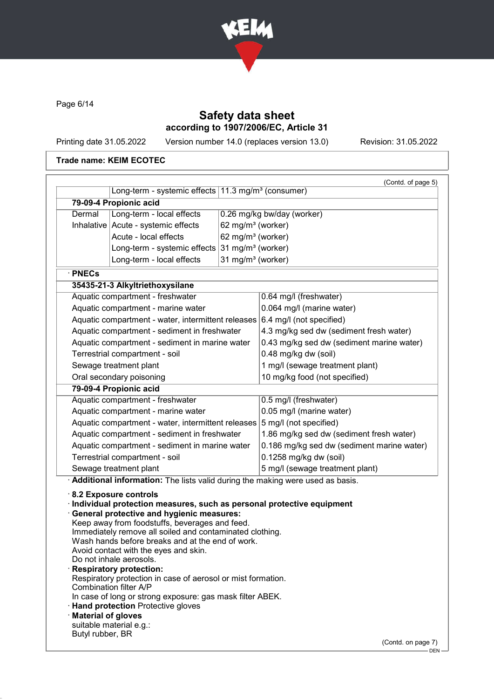

Page 6/14

# Safety data sheet according to 1907/2006/EC, Article 31

Printing date 31.05.2022 Version number 14.0 (replaces version 13.0) Revision: 31.05.2022

#### Trade name: KEIM ECOTEC

|                                                                           |                                                                                                                                                                                                                                                                                                                                                                                                                                                                                                                                                                                                                                                                        |                               | (Contd. of page 5)                         |
|---------------------------------------------------------------------------|------------------------------------------------------------------------------------------------------------------------------------------------------------------------------------------------------------------------------------------------------------------------------------------------------------------------------------------------------------------------------------------------------------------------------------------------------------------------------------------------------------------------------------------------------------------------------------------------------------------------------------------------------------------------|-------------------------------|--------------------------------------------|
|                                                                           | Long-term - systemic effects 11.3 mg/m <sup>3</sup> (consumer)                                                                                                                                                                                                                                                                                                                                                                                                                                                                                                                                                                                                         |                               |                                            |
|                                                                           | 79-09-4 Propionic acid                                                                                                                                                                                                                                                                                                                                                                                                                                                                                                                                                                                                                                                 |                               |                                            |
| Dermal                                                                    | Long-term - local effects                                                                                                                                                                                                                                                                                                                                                                                                                                                                                                                                                                                                                                              |                               | 0.26 mg/kg bw/day (worker)                 |
|                                                                           | Inhalative Acute - systemic effects                                                                                                                                                                                                                                                                                                                                                                                                                                                                                                                                                                                                                                    | 62 mg/m <sup>3</sup> (worker) |                                            |
|                                                                           | Acute - local effects                                                                                                                                                                                                                                                                                                                                                                                                                                                                                                                                                                                                                                                  | 62 mg/m <sup>3</sup> (worker) |                                            |
|                                                                           | Long-term - systemic effects                                                                                                                                                                                                                                                                                                                                                                                                                                                                                                                                                                                                                                           | 31 mg/m <sup>3</sup> (worker) |                                            |
|                                                                           | Long-term - local effects                                                                                                                                                                                                                                                                                                                                                                                                                                                                                                                                                                                                                                              | 31 mg/m <sup>3</sup> (worker) |                                            |
| · PNECs                                                                   |                                                                                                                                                                                                                                                                                                                                                                                                                                                                                                                                                                                                                                                                        |                               |                                            |
|                                                                           | 35435-21-3 Alkyltriethoxysilane                                                                                                                                                                                                                                                                                                                                                                                                                                                                                                                                                                                                                                        |                               |                                            |
|                                                                           | Aquatic compartment - freshwater                                                                                                                                                                                                                                                                                                                                                                                                                                                                                                                                                                                                                                       |                               | 0.64 mg/l (freshwater)                     |
|                                                                           | Aquatic compartment - marine water                                                                                                                                                                                                                                                                                                                                                                                                                                                                                                                                                                                                                                     |                               | 0.064 mg/l (marine water)                  |
|                                                                           | Aquatic compartment - water, intermittent releases $6.4$ mg/l (not specified)                                                                                                                                                                                                                                                                                                                                                                                                                                                                                                                                                                                          |                               |                                            |
|                                                                           | Aquatic compartment - sediment in freshwater                                                                                                                                                                                                                                                                                                                                                                                                                                                                                                                                                                                                                           |                               | 4.3 mg/kg sed dw (sediment fresh water)    |
|                                                                           | Aquatic compartment - sediment in marine water                                                                                                                                                                                                                                                                                                                                                                                                                                                                                                                                                                                                                         |                               | 0.43 mg/kg sed dw (sediment marine water)  |
|                                                                           | Terrestrial compartment - soil                                                                                                                                                                                                                                                                                                                                                                                                                                                                                                                                                                                                                                         |                               | 0.48 mg/kg dw (soil)                       |
|                                                                           | Sewage treatment plant                                                                                                                                                                                                                                                                                                                                                                                                                                                                                                                                                                                                                                                 |                               | 1 mg/l (sewage treatment plant)            |
|                                                                           | Oral secondary poisoning                                                                                                                                                                                                                                                                                                                                                                                                                                                                                                                                                                                                                                               |                               | 10 mg/kg food (not specified)              |
|                                                                           | 79-09-4 Propionic acid                                                                                                                                                                                                                                                                                                                                                                                                                                                                                                                                                                                                                                                 |                               |                                            |
|                                                                           | Aquatic compartment - freshwater                                                                                                                                                                                                                                                                                                                                                                                                                                                                                                                                                                                                                                       |                               | 0.5 mg/l (freshwater)                      |
|                                                                           | Aquatic compartment - marine water                                                                                                                                                                                                                                                                                                                                                                                                                                                                                                                                                                                                                                     |                               | 0.05 mg/l (marine water)                   |
|                                                                           | Aquatic compartment - water, intermittent releases                                                                                                                                                                                                                                                                                                                                                                                                                                                                                                                                                                                                                     |                               | 5 mg/l (not specified)                     |
|                                                                           | Aquatic compartment - sediment in freshwater                                                                                                                                                                                                                                                                                                                                                                                                                                                                                                                                                                                                                           |                               | 1.86 mg/kg sed dw (sediment fresh water)   |
|                                                                           | Aquatic compartment - sediment in marine water                                                                                                                                                                                                                                                                                                                                                                                                                                                                                                                                                                                                                         |                               | 0.186 mg/kg sed dw (sediment marine water) |
|                                                                           | Terrestrial compartment - soil                                                                                                                                                                                                                                                                                                                                                                                                                                                                                                                                                                                                                                         |                               | 0.1258 mg/kg dw (soil)                     |
|                                                                           | Sewage treatment plant                                                                                                                                                                                                                                                                                                                                                                                                                                                                                                                                                                                                                                                 |                               | 5 mg/l (sewage treatment plant)            |
| Combination filter A/P<br>· Material of gloves<br>suitable material e.g.: | Additional information: The lists valid during the making were used as basis.<br>8.2 Exposure controls<br>Individual protection measures, such as personal protective equipment<br>General protective and hygienic measures:<br>Keep away from foodstuffs, beverages and feed.<br>Immediately remove all soiled and contaminated clothing.<br>Wash hands before breaks and at the end of work.<br>Avoid contact with the eyes and skin.<br>Do not inhale aerosols.<br>Respiratory protection:<br>Respiratory protection in case of aerosol or mist formation.<br>In case of long or strong exposure: gas mask filter ABEK.<br><b>Hand protection Protective gloves</b> |                               |                                            |
| Butyl rubber, BR                                                          |                                                                                                                                                                                                                                                                                                                                                                                                                                                                                                                                                                                                                                                                        |                               | (Contd. on page 7)                         |

 $L_{\rm DEN}$   $-$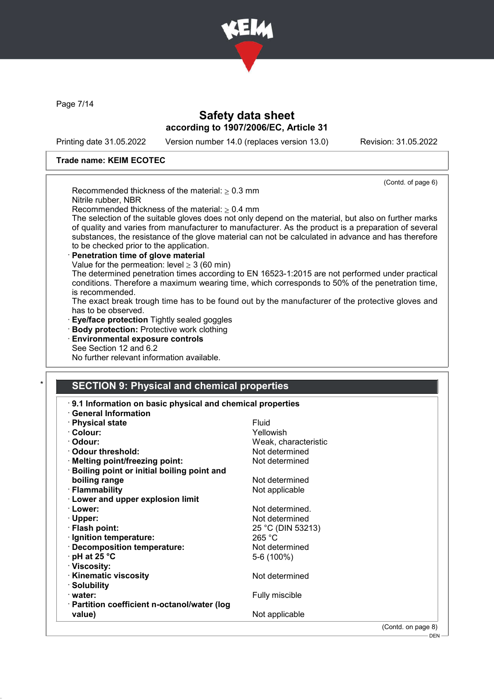

Page 7/14

# Safety data sheet according to 1907/2006/EC, Article 31

Printing date 31.05.2022 Version number 14.0 (replaces version 13.0) Revision: 31.05.2022

 $-\sin^{-1}$ 

#### Trade name: KEIM ECOTEC

|                                                                                                                                                      | (Contd. of page 6)                                                                                   |
|------------------------------------------------------------------------------------------------------------------------------------------------------|------------------------------------------------------------------------------------------------------|
| Recommended thickness of the material: $\geq 0.3$ mm                                                                                                 |                                                                                                      |
| Nitrile rubber, NBR                                                                                                                                  |                                                                                                      |
| Recommended thickness of the material: $\geq 0.4$ mm                                                                                                 |                                                                                                      |
|                                                                                                                                                      | The selection of the suitable gloves does not only depend on the material, but also on further marks |
|                                                                                                                                                      | of quality and varies from manufacturer to manufacturer. As the product is a preparation of several  |
|                                                                                                                                                      | substances, the resistance of the glove material can not be calculated in advance and has therefore  |
| to be checked prior to the application.                                                                                                              |                                                                                                      |
| Penetration time of glove material                                                                                                                   |                                                                                                      |
| Value for the permeation: level $\geq$ 3 (60 min)<br>The determined penetration times according to EN 16523-1:2015 are not performed under practical |                                                                                                      |
|                                                                                                                                                      | conditions. Therefore a maximum wearing time, which corresponds to 50% of the penetration time,      |
| is recommended.                                                                                                                                      |                                                                                                      |
|                                                                                                                                                      | The exact break trough time has to be found out by the manufacturer of the protective gloves and     |
| has to be observed.                                                                                                                                  |                                                                                                      |
| Eye/face protection Tightly sealed goggles                                                                                                           |                                                                                                      |
| · Body protection: Protective work clothing                                                                                                          |                                                                                                      |
| <b>Environmental exposure controls</b>                                                                                                               |                                                                                                      |
| See Section 12 and 6.2                                                                                                                               |                                                                                                      |
| No further relevant information available.                                                                                                           |                                                                                                      |
| <b>SECTION 9: Physical and chemical properties</b><br>9.1 Information on basic physical and chemical properties                                      |                                                                                                      |
| <b>General Information</b>                                                                                                                           |                                                                                                      |
| · Physical state                                                                                                                                     | <b>Fluid</b>                                                                                         |
| · Colour:                                                                                                                                            | Yellowish                                                                                            |
| · Odour:                                                                                                                                             | Weak, characteristic                                                                                 |
| · Odour threshold:                                                                                                                                   | Not determined                                                                                       |
| · Melting point/freezing point:                                                                                                                      | Not determined                                                                                       |
| Boiling point or initial boiling point and                                                                                                           |                                                                                                      |
| boiling range                                                                                                                                        | Not determined                                                                                       |
| · Flammability                                                                                                                                       | Not applicable                                                                                       |
| · Lower and upper explosion limit                                                                                                                    |                                                                                                      |
| · Lower:                                                                                                                                             | Not determined.                                                                                      |
| · Upper:                                                                                                                                             | Not determined                                                                                       |
| · Flash point:                                                                                                                                       | 25 °C (DIN 53213)                                                                                    |
| · Ignition temperature:                                                                                                                              | 265 °C                                                                                               |
| <b>Decomposition temperature:</b>                                                                                                                    | Not determined                                                                                       |
| pH at 25 °C                                                                                                                                          | 5-6 (100%)                                                                                           |
| · Viscosity:                                                                                                                                         |                                                                                                      |
| · Kinematic viscosity                                                                                                                                | Not determined                                                                                       |
| · Solubility                                                                                                                                         |                                                                                                      |
| · water:                                                                                                                                             | Fully miscible                                                                                       |
| · Partition coefficient n-octanol/water (log<br>value)                                                                                               | Not applicable                                                                                       |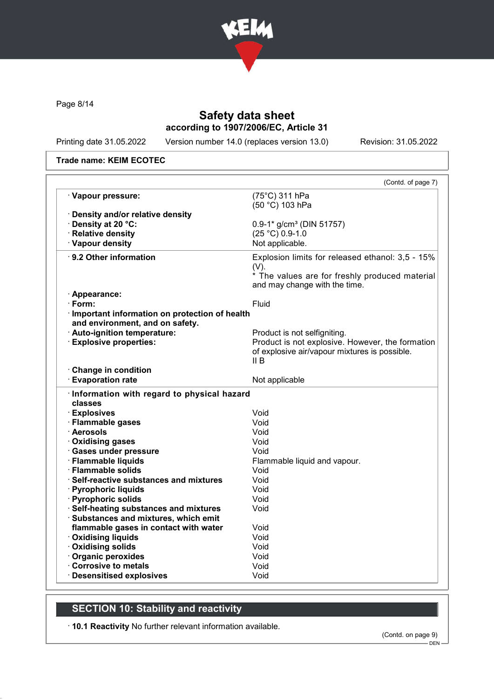

Page 8/14

# Safety data sheet according to 1907/2006/EC, Article 31

Printing date 31.05.2022 Version number 14.0 (replaces version 13.0) Revision: 31.05.2022

#### Trade name: KEIM ECOTEC

|                                                  | (Contd. of page 7)                                     |
|--------------------------------------------------|--------------------------------------------------------|
| · Vapour pressure:                               | (75°C) 311 hPa<br>(50 °C) 103 hPa                      |
| · Density and/or relative density                |                                                        |
| · Density at 20 °C:                              | $0.9 - 1*$ g/cm <sup>3</sup> (DIN 51757)               |
| · Relative density                               | $(25 °C) 0.9-1.0$                                      |
| · Vapour density                                 | Not applicable.                                        |
| · 9.2 Other information                          | Explosion limits for released ethanol: 3,5 - 15%       |
|                                                  |                                                        |
|                                                  | (V).<br>* The values are for freshly produced material |
|                                                  | and may change with the time.                          |
| · Appearance:                                    |                                                        |
| · Form:                                          | Fluid                                                  |
| · Important information on protection of health  |                                                        |
| and environment, and on safety.                  |                                                        |
| · Auto-ignition temperature:                     | Product is not selfigniting.                           |
| <b>Explosive properties:</b>                     | Product is not explosive. However, the formation       |
|                                                  | of explosive air/vapour mixtures is possible.          |
|                                                  | II B                                                   |
| Change in condition                              |                                                        |
| <b>Evaporation rate</b>                          | Not applicable                                         |
| · Information with regard to physical hazard     |                                                        |
| classes                                          |                                                        |
| · Explosives                                     | Void                                                   |
| · Flammable gases                                | Void                                                   |
| · Aerosols                                       | Void                                                   |
| · Oxidising gases                                | Void                                                   |
| · Gases under pressure                           | Void                                                   |
| · Flammable liquids                              | Flammable liquid and vapour.                           |
| · Flammable solids                               | Void                                                   |
| · Self-reactive substances and mixtures          | Void                                                   |
| · Pyrophoric liquids                             | Void                                                   |
| · Pyrophoric solids                              | Void                                                   |
| · Self-heating substances and mixtures           | Void                                                   |
| · Substances and mixtures, which emit            |                                                        |
| flammable gases in contact with water            | Void                                                   |
| <b>Oxidising liquids</b>                         | Void                                                   |
| · Oxidising solids                               | Void                                                   |
| · Organic peroxides                              | Void                                                   |
|                                                  | Void                                                   |
| Corrosive to metals<br>· Desensitised explosives | Void                                                   |

# SECTION 10: Stability and reactivity

· 10.1 Reactivity No further relevant information available.

DEN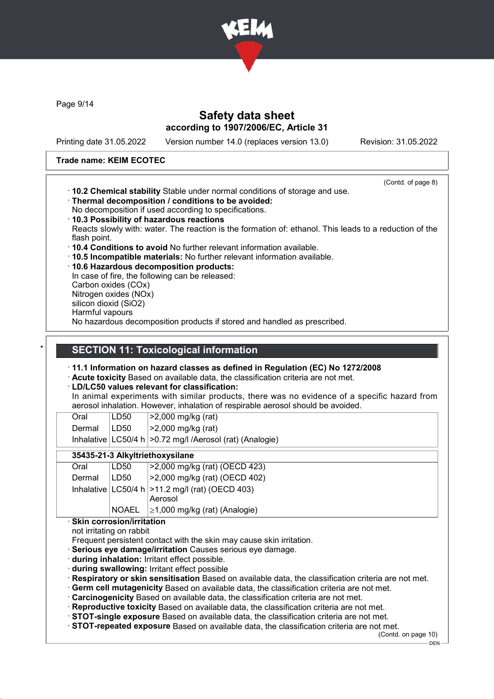

Page 9/14

### Safety data sheet according to 1907/2006/EC, Article 31

Printing date 31.05.2022 Version number 14.0 (replaces version 13.0) Revision: 31.05.2022

(Contd. of page 8)

#### Trade name: KEIM ECOTEC

- · 10.2 Chemical stability Stable under normal conditions of storage and use.
- · Thermal decomposition / conditions to be avoided:
- No decomposition if used according to specifications.
- · 10.3 Possibility of hazardous reactions
- Reacts slowly with: water. The reaction is the formation of: ethanol. This leads to a reduction of the flash point.
- · 10.4 Conditions to avoid No further relevant information available.
- · 10.5 Incompatible materials: No further relevant information available.
- · 10.6 Hazardous decomposition products:

In case of fire, the following can be released: Carbon oxides (COx) Nitrogen oxides (NOx) silicon dioxid (SiO2) Harmful vapours No hazardous decomposition products if stored and handled as prescribed.

# **SECTION 11: Toxicological information**

· 11.1 Information on hazard classes as defined in Regulation (EC) No 1272/2008

Acute toxicity Based on available data, the classification criteria are not met.

#### · LD/LC50 values relevant for classification:

In animal experiments with similar products, there was no evidence of a specific hazard from aerosol inhalation. However, inhalation of respirable aerosol should be avoided.

| Oral   | LD50 | $ >2,000$ mg/kg (rat)                                          |
|--------|------|----------------------------------------------------------------|
| Dermal | LD50 | $ >2,000$ mg/kg (rat)                                          |
|        |      | Inhalative   LC50/4 h   > 0.72 mg/l / Aerosol (rat) (Analogie) |

#### 35435-21-3 Alkyltriethoxysilane

| Oral   | LD50         | >2,000 mg/kg (rat) (OECD 423)                                   |
|--------|--------------|-----------------------------------------------------------------|
| Dermal | LD50         | 52,000 mg/kg (rat) (OECD 402)                                   |
|        |              | Inhalative $ LC50/4 h $ > 11.2 mg/l (rat) (OECD 403)<br>Aerosol |
|        | <b>NOAEL</b> | $\geq$ 1,000 mg/kg (rat) (Analogie)                             |

· Skin corrosion/irritation

not irritating on rabbit

Frequent persistent contact with the skin may cause skin irritation.

· Serious eye damage/irritation Causes serious eye damage.

- · during inhalation: Irritant effect possible.
- · during swallowing: Irritant effect possible
- · Respiratory or skin sensitisation Based on available data, the classification criteria are not met.
- · Germ cell mutagenicity Based on available data, the classification criteria are not met.
- · Carcinogenicity Based on available data, the classification criteria are not met.
- · Reproductive toxicity Based on available data, the classification criteria are not met.
- · STOT-single exposure Based on available data, the classification criteria are not met.

· STOT-repeated exposure Based on available data, the classification criteria are not met.

(Contd. on page 10)

 $-$  DEN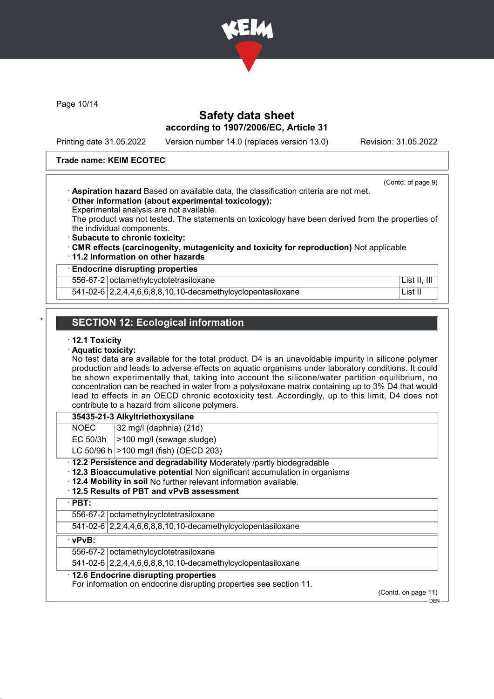

Page 10/14

### Safety data sheet according to 1907/2006/EC, Article 31

Printing date 31.05.2022 Version number 14.0 (replaces version 13.0) Revision: 31.05.2022

#### Trade name: KEIM ECOTEC

|                                                                                     | (Contd. of page 9) |
|-------------------------------------------------------------------------------------|--------------------|
| Aspiration hazard Based on available data, the classification criteria are not met. |                    |
| Other information (about experimental toxicology):                                  |                    |

Experimental analysis are not available.

The product was not tested. The statements on toxicology have been derived from the properties of the individual components.

- · Subacute to chronic toxicity:
- · CMR effects (carcinogenity, mutagenicity and toxicity for reproduction) Not applicable
- · 11.2 Information on other hazards

#### · Endocrine disrupting properties

556-67-2 octamethylcyclotetrasiloxane List II, III

541-02-6 2,2,4,4,6,6,8,8,10,10-decamethylcyclopentasiloxane List II

# **SECTION 12: Ecological information**

#### · 12.1 Toxicity

· Aquatic toxicity:

No test data are available for the total product. D4 is an unavoidable impurity in silicone polymer production and leads to adverse effects on aquatic organisms under laboratory conditions. It could be shown experimentally that, taking into account the silicone/water partition equilibrium, no concentration can be reached in water from a polysiloxane matrix containing up to 3% D4 that would lead to effects in an OECD chronic ecotoxicity test. Accordingly, up to this limit, D4 does not contribute to a hazard from silicone polymers.

#### 35435-21-3 Alkyltriethoxysilane

 $NOEC$  32 mg/l (daphnia) (21d)

EC 50/3h  $|>100$  mg/l (sewage sludge)

LC 50/96 h  $>100$  mg/l (fish) (OECD 203)

#### · 12.2 Persistence and degradability Moderately /partly biodegradable

- · 12.3 Bioaccumulative potential Non significant accumulation in organisms
- · 12.4 Mobility in soil No further relevant information available.

#### · 12.5 Results of PBT and vPvB assessment

· PBT:

556-67-2 octamethylcyclotetrasiloxane

541-02-6 2,2,4,4,6,6,8,8,10,10-decamethylcyclopentasiloxane

#### · vPvB:

556-67-2 octamethylcyclotetrasiloxane

541-02-6 2,2,4,4,6,6,8,8,10,10-decamethylcyclopentasiloxane

#### · 12.6 Endocrine disrupting properties

For information on endocrine disrupting properties see section 11.

(Contd. on page 11)

DEN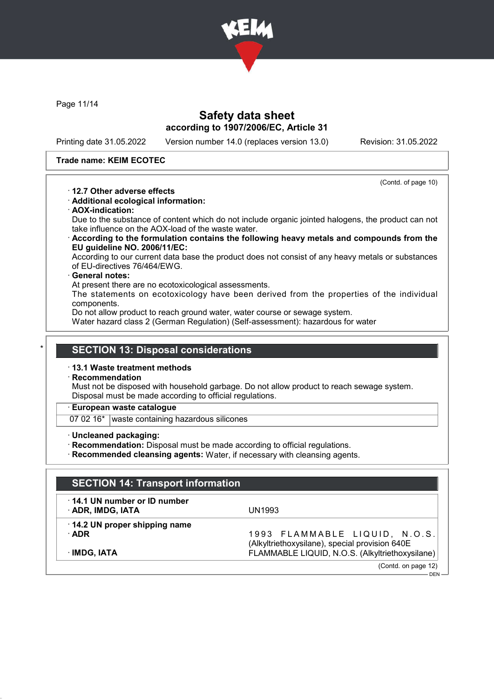

Page 11/14

### Safety data sheet according to 1907/2006/EC, Article 31

Printing date 31.05.2022 Version number 14.0 (replaces version 13.0) Revision: 31.05.2022

#### Trade name: KEIM ECOTEC

(Contd. of page 10)

DEN

- · 12.7 Other adverse effects
- · Additional ecological information:
- · AOX-indication:

Due to the substance of content which do not include organic jointed halogens, the product can not take influence on the AOX-load of the waste water.

· According to the formulation contains the following heavy metals and compounds from the EU guideline NO. 2006/11/EC:

According to our current data base the product does not consist of any heavy metals or substances of EU-directives 76/464/EWG.

#### General notes:

At present there are no ecotoxicological assessments.

The statements on ecotoxicology have been derived from the properties of the individual components.

Do not allow product to reach ground water, water course or sewage system.

Water hazard class 2 (German Regulation) (Self-assessment): hazardous for water

### **SECTION 13: Disposal considerations**

#### · 13.1 Waste treatment methods

**Recommendation** 

Must not be disposed with household garbage. Do not allow product to reach sewage system. Disposal must be made according to official regulations.

#### · European waste catalogue

07 02 16<sup>\*</sup> waste containing hazardous silicones

- · Uncleaned packaging:
- · Recommendation: Disposal must be made according to official regulations.
- · Recommended cleansing agents: Water, if necessary with cleansing agents.

# SECTION 14: Transport information · 14.1 UN number or ID number · ADR, IMDG, IATA UN1993 · 14.2 UN proper shipping name · ADR 1 9 9 3 F L A M M A B L E L I Q U I D , N . O . S . (Alkyltriethoxysilane), special provision 640E · IMDG, IATA FLAMMABLE LIQUID, N.O.S. (Alkyltriethoxysilane) (Contd. on page 12)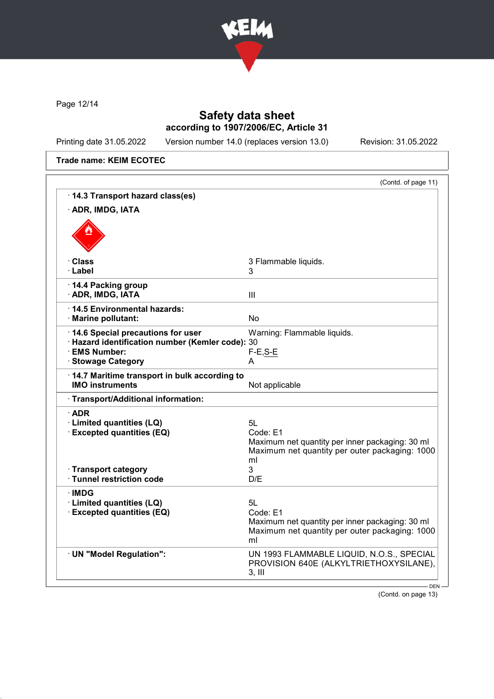

Page 12/14

# Safety data sheet according to 1907/2006/EC, Article 31

Printing date 31.05.2022 Version number 14.0 (replaces version 13.0) Revision: 31.05.2022

Trade name: KEIM ECOTEC

|                                                                   | (Contd. of page 11)                                                                                     |
|-------------------------------------------------------------------|---------------------------------------------------------------------------------------------------------|
| · 14.3 Transport hazard class(es)                                 |                                                                                                         |
| · ADR, IMDG, IATA                                                 |                                                                                                         |
|                                                                   |                                                                                                         |
| · Class                                                           | 3 Flammable liquids.                                                                                    |
| · Label                                                           | 3                                                                                                       |
| 14.4 Packing group                                                |                                                                                                         |
| · ADR, IMDG, IATA                                                 | Ш                                                                                                       |
| ⋅14.5 Environmental hazards:                                      |                                                                                                         |
| · Marine pollutant:                                               | <b>No</b>                                                                                               |
| 14.6 Special precautions for user                                 | Warning: Flammable liquids.                                                                             |
| · Hazard identification number (Kemler code): 30<br>· EMS Number: | $F-E, S-E$                                                                                              |
| · Stowage Category                                                | A                                                                                                       |
| 14.7 Maritime transport in bulk according to                      |                                                                                                         |
| <b>IMO instruments</b>                                            | Not applicable                                                                                          |
| · Transport/Additional information:                               |                                                                                                         |
| $\cdot$ ADR                                                       |                                                                                                         |
| · Limited quantities (LQ)                                         | 5L                                                                                                      |
| <b>Excepted quantities (EQ)</b>                                   | Code: E1                                                                                                |
|                                                                   | Maximum net quantity per inner packaging: 30 ml                                                         |
|                                                                   | Maximum net quantity per outer packaging: 1000<br>ml                                                    |
| · Transport category                                              | 3                                                                                                       |
| · Tunnel restriction code                                         | D/E                                                                                                     |
| ∙IMDG                                                             |                                                                                                         |
| · Limited quantities (LQ)                                         | 5L                                                                                                      |
| <b>Excepted quantities (EQ)</b>                                   | Code: E1                                                                                                |
|                                                                   | Maximum net quantity per inner packaging: 30 ml<br>Maximum net quantity per outer packaging: 1000<br>ml |
| · UN "Model Regulation":                                          | UN 1993 FLAMMABLE LIQUID, N.O.S., SPECIAL                                                               |
|                                                                   | PROVISION 640E (ALKYLTRIETHOXYSILANE),<br>$3,$ III                                                      |
|                                                                   |                                                                                                         |

(Contd. on page 13)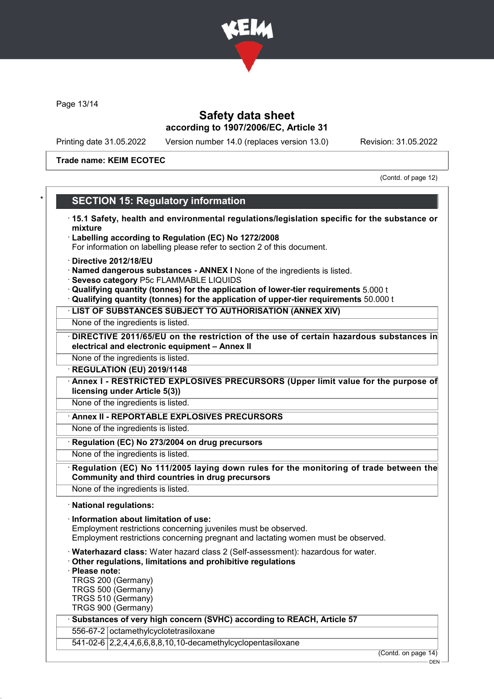

Page 13/14

### Safety data sheet according to 1907/2006/EC, Article 31

Printing date 31.05.2022 Version number 14.0 (replaces version 13.0) Revision: 31.05.2022

Trade name: KEIM ECOTEC

(Contd. of page 12)

# **SECTION 15: Regulatory information**

· 15.1 Safety, health and environmental regulations/legislation specific for the substance or mixture · Labelling according to Regulation (EC) No 1272/2008 For information on labelling please refer to section 2 of this document. · Directive 2012/18/EU · Named dangerous substances - ANNEX I None of the ingredients is listed. · Seveso category P5c FLAMMABLE LIQUIDS · Qualifying quantity (tonnes) for the application of lower-tier requirements 5.000 t · Qualifying quantity (tonnes) for the application of upper-tier requirements 50.000 t · LIST OF SUBSTANCES SUBJECT TO AUTHORISATION (ANNEX XIV) None of the ingredients is listed. DIRECTIVE 2011/65/EU on the restriction of the use of certain hazardous substances in electrical and electronic equipment – Annex II None of the ingredients is listed. · REGULATION (EU) 2019/1148 Annex I - RESTRICTED EXPLOSIVES PRECURSORS (Upper limit value for the purpose of licensing under Article 5(3)) None of the ingredients is listed. Annex II - REPORTABLE EXPLOSIVES PRECURSORS None of the ingredients is listed. · Regulation (EC) No 273/2004 on drug precursors None of the ingredients is listed. Regulation (EC) No 111/2005 laying down rules for the monitoring of trade between the Community and third countries in drug precursors None of the ingredients is listed. · National regulations: · Information about limitation of use: Employment restrictions concerning juveniles must be observed. Employment restrictions concerning pregnant and lactating women must be observed. · Waterhazard class: Water hazard class 2 (Self-assessment): hazardous for water. · Other regulations, limitations and prohibitive regulations Please note: TRGS 200 (Germany) TRGS 500 (Germany)

TRGS 510 (Germany)

TRGS 900 (Germany)

#### Substances of very high concern (SVHC) according to REACH, Article 57

556-67-2 octamethylcyclotetrasiloxane

541-02-6 2,2,4,4,6,6,8,8,10,10-decamethylcyclopentasiloxane

(Contd. on page 14)

DEN